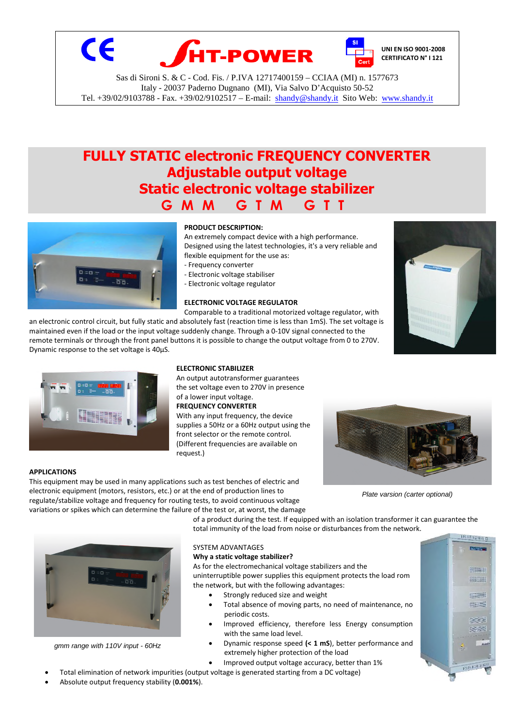

# **FULLY STATIC electronic FREQUENCY CONVERTER Adjustable output voltage Static electronic voltage stabilizer G M M G T M G T T**



# **PRODUCT DESCRIPTION:**

An extremely compact device with a high performance. Designed using the latest technologies, it's a very reliable and flexible equipment for the use as:

- Frequency converter
- Electronic voltage stabiliser
- Electronic voltage regulator

## **ELECTRONIC VOLTAGE REGULATOR**

Comparable to a traditional motorized voltage regulator, with an electronic control circuit, but fully static and absolutely fast (reaction time is less than 1mS). The set voltage is

maintained even if the load or the input voltage suddenly change. Through a 0-10V signal connected to the remote terminals or through the front panel buttons it is possible to change the output voltage from 0 to 270V. Dynamic response to the set voltage is 40µS.



An output autotransformer guarantees the set voltage even to 270V in presence With any input frequency, the device

supplies a 50Hz or a 60Hz output using the (Different frequencies are available on request.)



*Plate varsion (carter optional)*

### **APPLICATIONS**

This equipment may be used in many applications such as test benches of electric and electronic equipment (motors, resistors, etc.) or at the end of production lines to regulate/stabilize voltage and frequency for routing tests, to avoid continuous voltage variations or spikes which can determine the failure of the test or, at worst, the damage

> of a product during the test. If equipped with an isolation transformer it can guarantee the total immunity of the load from noise or disturbances from the network.



*gmm range with 110V input - 60Hz*

#### SYSTEM ADVANTAGES **Why a static voltage stabilizer?**

As for the electromechanical voltage stabilizers and the uninterruptible power supplies this equipment protects the load rom the network, but with the following advantages:

- Strongly reduced size and weight
- Total absence of moving parts, no need of maintenance, no periodic costs.
- Improved efficiency, therefore less Energy consumption with the same load level.
- Dynamic response speed **(< 1 mS**), better performance and extremely higher protection of the load
	- Improved output voltage accuracy, better than 1%



Absolute output frequency stability (**0.001%**).

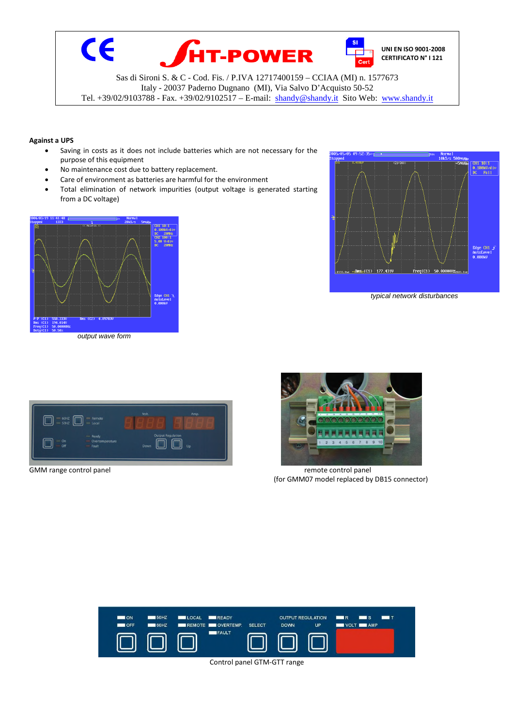

## **Against a UPS**

- Saving in costs as it does not include batteries which are not necessary for the purpose of this equipment
- No maintenance cost due to battery replacement.
- Care of environment as batteries are harmful for the environment
- Total elimination of network impurities (output voltage is generated starting from a DC voltage)



*output wave form*



*typical network disturbances*





GMM range control panel and the material remote control panel remote control panel remote control panel remote control panel and remote control panel remote control panel remote control panel and remote control panel remot (for GMM07 model replaced by DB15 connector)

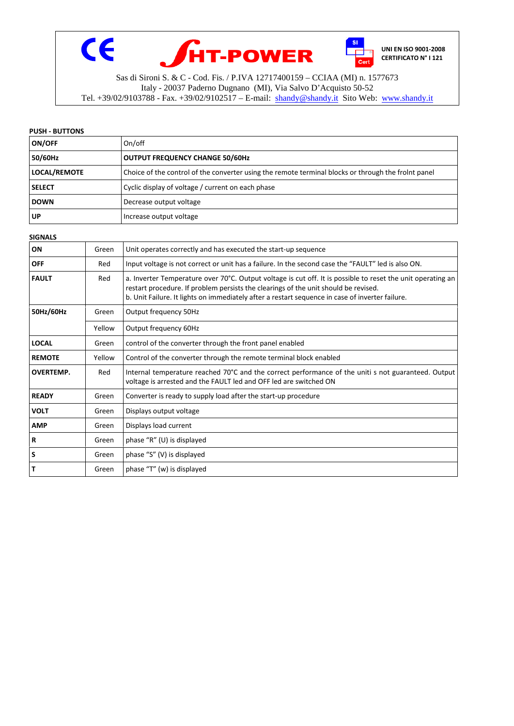

## **PUSH - BUTTONS**

| ON/OFF              | On/off                                                                                              |
|---------------------|-----------------------------------------------------------------------------------------------------|
| 50/60Hz             | <b>OUTPUT FREQUENCY CHANGE 50/60Hz</b>                                                              |
| <b>LOCAL/REMOTE</b> | Choice of the control of the converter using the remote terminal blocks or through the frolnt panel |
| <b>SELECT</b>       | Cyclic display of voltage / current on each phase                                                   |
| <b>DOWN</b>         | Decrease output voltage                                                                             |
| UP                  | Increase output voltage                                                                             |

#### **SIGNALS**

| ON               | Green  | Unit operates correctly and has executed the start-up sequence                                                                                                                                                                                                                                        |
|------------------|--------|-------------------------------------------------------------------------------------------------------------------------------------------------------------------------------------------------------------------------------------------------------------------------------------------------------|
| <b>OFF</b>       | Red    | Input voltage is not correct or unit has a failure. In the second case the "FAULT" led is also ON.                                                                                                                                                                                                    |
| <b>FAULT</b>     | Red    | a. Inverter Temperature over 70°C. Output voltage is cut off. It is possible to reset the unit operating an<br>restart procedure. If problem persists the clearings of the unit should be revised.<br>b. Unit Failure. It lights on immediately after a restart sequence in case of inverter failure. |
| 50Hz/60Hz        | Green  | Output frequency 50Hz                                                                                                                                                                                                                                                                                 |
|                  | Yellow | Output frequency 60Hz                                                                                                                                                                                                                                                                                 |
| <b>LOCAL</b>     | Green  | control of the converter through the front panel enabled                                                                                                                                                                                                                                              |
| <b>REMOTE</b>    | Yellow | Control of the converter through the remote terminal block enabled                                                                                                                                                                                                                                    |
| <b>OVERTEMP.</b> | Red    | Internal temperature reached 70°C and the correct performance of the uniti s not guaranteed. Output<br>voltage is arrested and the FAULT led and OFF led are switched ON                                                                                                                              |
| <b>READY</b>     | Green  | Converter is ready to supply load after the start-up procedure                                                                                                                                                                                                                                        |
| <b>VOLT</b>      | Green  | Displays output voltage                                                                                                                                                                                                                                                                               |
| <b>AMP</b>       | Green  | Displays load current                                                                                                                                                                                                                                                                                 |
| $\mathbf R$      | Green  | phase "R" (U) is displayed                                                                                                                                                                                                                                                                            |
| S                | Green  | phase "S" (V) is displayed                                                                                                                                                                                                                                                                            |
| т                | Green  | phase "T" (w) is displayed                                                                                                                                                                                                                                                                            |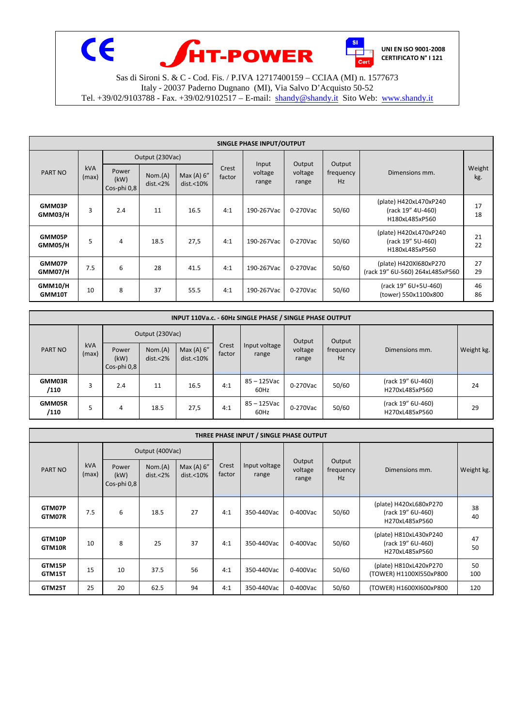

| SINGLE PHASE INPUT/OUTPUT |              |                              |                     |                                      |                 |                           |                            |                           |                                                               |               |  |
|---------------------------|--------------|------------------------------|---------------------|--------------------------------------|-----------------|---------------------------|----------------------------|---------------------------|---------------------------------------------------------------|---------------|--|
| PART NO                   | kVA<br>(max) | Output (230Vac)              |                     |                                      |                 |                           |                            |                           |                                                               |               |  |
|                           |              | Power<br>(kW)<br>Cos-phi 0,8 | Nom.(A)<br>dist.<2% | Max $(A)$ 6"<br>dist. <sub>10%</sub> | Crest<br>factor | Input<br>voltage<br>range | Output<br>voltage<br>range | Output<br>frequency<br>Hz | Dimensions mm.                                                | Weight<br>kg. |  |
| GMM03P<br>GMM03/H         | 3            | 2.4                          | 11                  | 16.5                                 | 4:1             | 190-267Vac                | 0-270Vac                   | 50/60                     | (plate) H420xL470xP240<br>(rack 19" 4U-460)<br>H180xL485xP560 | 17<br>18      |  |
| GMM05P<br>GMM05/H         | 5            | 4                            | 18.5                | 27,5                                 | 4:1             | 190-267Vac                | 0-270Vac                   | 50/60                     | (plate) H420xL470xP240<br>(rack 19" 5U-460)<br>H180xL485xP560 | 21<br>22      |  |
| GMM07P<br>GMM07/H         | 7.5          | 6                            | 28                  | 41.5                                 | 4:1             | 190-267Vac                | 0-270Vac                   | 50/60                     | (plate) H420Xl680xP270<br>(rack 19" 6U-560) 264xL485xP560     | 27<br>29      |  |
| <b>GMM10/H</b><br>GMM10T  | 10           | 8                            | 37                  | 55.5                                 | 4:1             | 190-267Vac                | 0-270Vac                   | 50/60                     | (rack 19" 6U+5U-460)<br>(tower) 550x1100x800                  | 46<br>86      |  |

| INPUT 110Va.c. - 60Hz SINGLE PHASE / SINGLE PHASE OUTPUT |              |                              |                     |                                       |                 |                        |                  |                        |                                     |            |  |
|----------------------------------------------------------|--------------|------------------------------|---------------------|---------------------------------------|-----------------|------------------------|------------------|------------------------|-------------------------------------|------------|--|
| <b>PART NO</b>                                           | kVA<br>(max) | Output (230Vac)              |                     |                                       |                 |                        | Output           | Output                 |                                     |            |  |
|                                                          |              | Power<br>(kW)<br>Cos-phi 0,8 | Nom.(A)<br>dist.<2% | Max (A) $6''$<br>dist. <sub>10%</sub> | Crest<br>factor | Input voltage<br>range | voltage<br>range | frequency<br><b>Hz</b> | Dimensions mm.                      | Weight kg. |  |
| GMM03R<br>/110                                           | 3            | 2.4                          | 11                  | 16.5                                  | 4:1             | 85 – 125Vac<br>60Hz    | 0-270Vac         | 50/60                  | (rack 19" 6U-460)<br>H270xL485xP560 | 24         |  |
| <b>GMM05R</b><br>/110                                    |              | 4                            | 18.5                | 27,5                                  | 4:1             | 85 – 125Vac<br>60Hz    | 0-270Vac         | 50/60                  | (rack 19" 6U-460)<br>H270xL485xP560 | 29         |  |

|                                | THREE PHASE INPUT / SINGLE PHASE OUTPUT |                     |                                    |                 |                        |                            |                           |                |                                                               |           |  |  |  |
|--------------------------------|-----------------------------------------|---------------------|------------------------------------|-----------------|------------------------|----------------------------|---------------------------|----------------|---------------------------------------------------------------|-----------|--|--|--|
| kVA<br><b>PART NO</b><br>(max) |                                         | Output (400Vac)     |                                    |                 |                        |                            |                           |                |                                                               |           |  |  |  |
|                                | Power<br>(kW)<br>Cos-phi 0,8            | Nom.(A)<br>dist.<2% | Max (A) 6"<br>dist. <sub>10%</sub> | Crest<br>factor | Input voltage<br>range | Output<br>voltage<br>range | Output<br>frequency<br>Hz | Dimensions mm. | Weight kg.                                                    |           |  |  |  |
| GTM07P<br>GTM07R               | 7.5                                     | 6                   | 18.5                               | 27              | 4:1                    | 350-440Vac                 | 0-400Vac                  | 50/60          | (plate) H420xL680xP270<br>(rack 19" 6U-460)<br>H270xL485xP560 | 38<br>40  |  |  |  |
| GTM10P<br>GTM10R               | 10                                      | 8                   | 25                                 | 37              | 4:1                    | 350-440Vac                 | 0-400Vac                  | 50/60          | (plate) H810xL430xP240<br>(rack 19" 6U-460)<br>H270xL485xP560 | 47<br>50  |  |  |  |
| GTM15P<br>GTM15T               | 15                                      | 10                  | 37.5                               | 56              | 4:1                    | 350-440Vac                 | 0-400Vac                  | 50/60          | (plate) H810xL420xP270<br>(TOWER) H1100XI550xP800             | 50<br>100 |  |  |  |
| GTM25T                         | 25                                      | 20                  | 62.5                               | 94              | 4:1                    | 350-440Vac                 | 0-400Vac                  | 50/60          | (TOWER) H1600XI600xP800                                       | 120       |  |  |  |